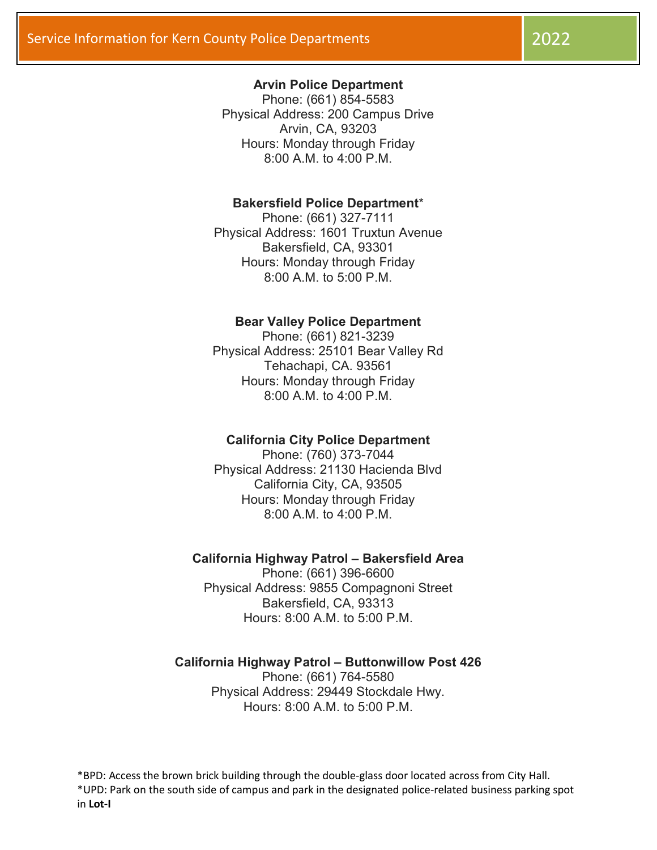## Arvin Police Department

Phone: (661) 854-5583 Physical Address: 200 Campus Drive Arvin, CA, 93203 Hours: Monday through Friday 8:00 A.M. to 4:00 P.M.

## Bakersfield Police Department\*

Phone: (661) 327-7111 Physical Address: 1601 Truxtun Avenue Bakersfield, CA, 93301 Hours: Monday through Friday 8:00 A.M. to 5:00 P.M.

#### Bear Valley Police Department

Phone: (661) 821-3239 Physical Address: 25101 Bear Valley Rd Tehachapi, CA. 93561 Hours: Monday through Friday 8:00 A.M. to 4:00 P.M.

### California City Police Department

Phone: (760) 373-7044 Physical Address: 21130 Hacienda Blvd California City, CA, 93505 Hours: Monday through Friday  $8:00 A M to 4:00 P M$ 

#### California Highway Patrol – Bakersfield Area

Phone: (661) 396-6600 Physical Address: 9855 Compagnoni Street Bakersfield, CA, 93313 Hours: 8:00 A.M. to 5:00 P.M.

# California Highway Patrol – Buttonwillow Post 426

Phone: (661) 764-5580 Physical Address: 29449 Stockdale Hwy. Hours: 8:00 A.M. to 5:00 P.M.

\*BPD: Access the brown brick building through the double-glass door located across from City Hall. \*UPD: Park on the south side of campus and park in the designated police-related business parking spot in Lot-I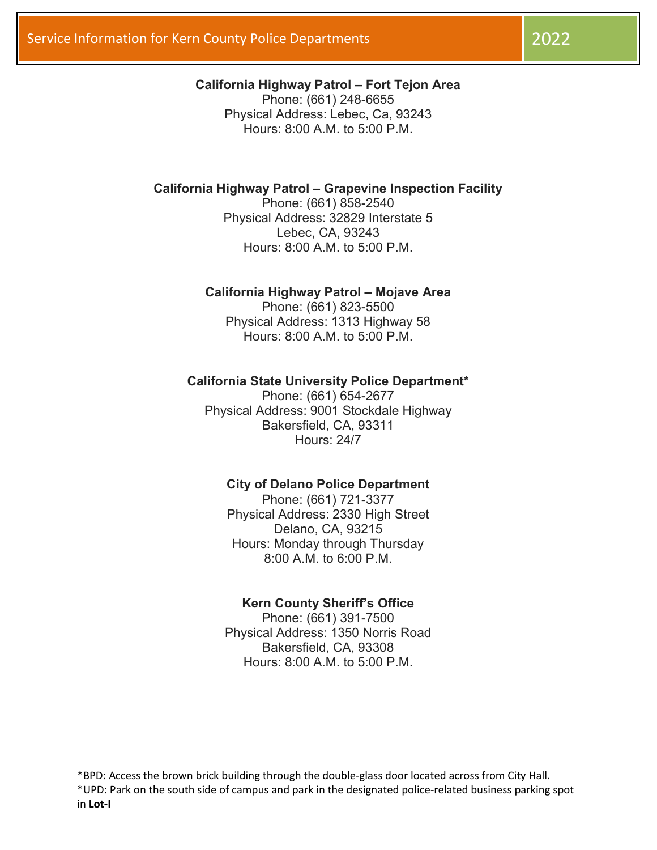# California Highway Patrol – Fort Tejon Area

Phone: (661) 248-6655 Physical Address: Lebec, Ca, 93243 Hours: 8:00 A.M. to 5:00 P.M.

# California Highway Patrol – Grapevine Inspection Facility

Phone: (661) 858-2540 Physical Address: 32829 Interstate 5 Lebec, CA, 93243 Hours: 8:00 A.M. to 5:00 P.M.

## California Highway Patrol – Mojave Area

Phone: (661) 823-5500 Physical Address: 1313 Highway 58 Hours: 8:00 A.M. to 5:00 P.M.

#### California State University Police Department\*

Phone: (661) 654-2677 Physical Address: 9001 Stockdale Highway Bakersfield, CA, 93311 Hours: 24/7

## City of Delano Police Department

Phone: (661) 721-3377 Physical Address: 2330 High Street Delano, CA, 93215 Hours: Monday through Thursday 8:00 A.M. to 6:00 P.M.

#### Kern County Sheriff's Office

Phone: (661) 391-7500 Physical Address: 1350 Norris Road Bakersfield, CA, 93308 Hours: 8:00 A.M. to 5:00 P.M.

\*BPD: Access the brown brick building through the double-glass door located across from City Hall. \*UPD: Park on the south side of campus and park in the designated police-related business parking spot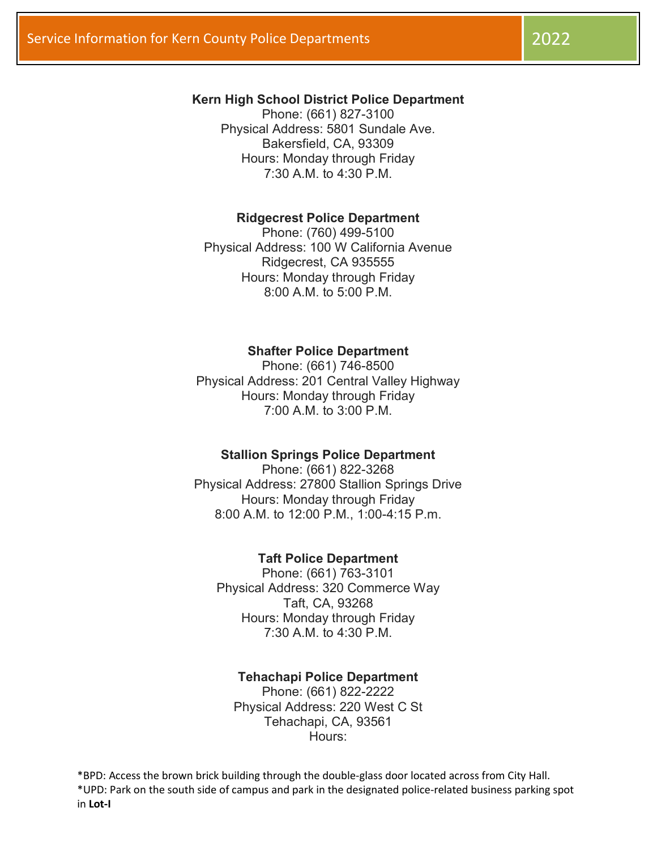# Kern High School District Police Department

Phone: (661) 827-3100 Physical Address: 5801 Sundale Ave. Bakersfield, CA, 93309 Hours: Monday through Friday 7:30 A.M. to 4:30 P.M.

## Ridgecrest Police Department

Phone: (760) 499-5100 Physical Address: 100 W California Avenue Ridgecrest, CA 935555 Hours: Monday through Friday  $8:00 A M to 5:00 P M$ 

## Shafter Police Department

Phone: (661) 746-8500 Physical Address: 201 Central Valley Highway Hours: Monday through Friday 7:00 A.M. to 3:00 P.M.

# Stallion Springs Police Department

Phone: (661) 822-3268 Physical Address: 27800 Stallion Springs Drive Hours: Monday through Friday 8:00 A.M. to 12:00 P.M., 1:00-4:15 P.m.

### Taft Police Department

Phone: (661) 763-3101 Physical Address: 320 Commerce Way Taft, CA, 93268 Hours: Monday through Friday 7:30 A.M. to 4:30 P.M.

## Tehachapi Police Department

Phone: (661) 822-2222 Physical Address: 220 West C St Tehachapi, CA, 93561 Hours:

\*BPD: Access the brown brick building through the double-glass door located across from City Hall. \*UPD: Park on the south side of campus and park in the designated police-related business parking spot in Lot-I